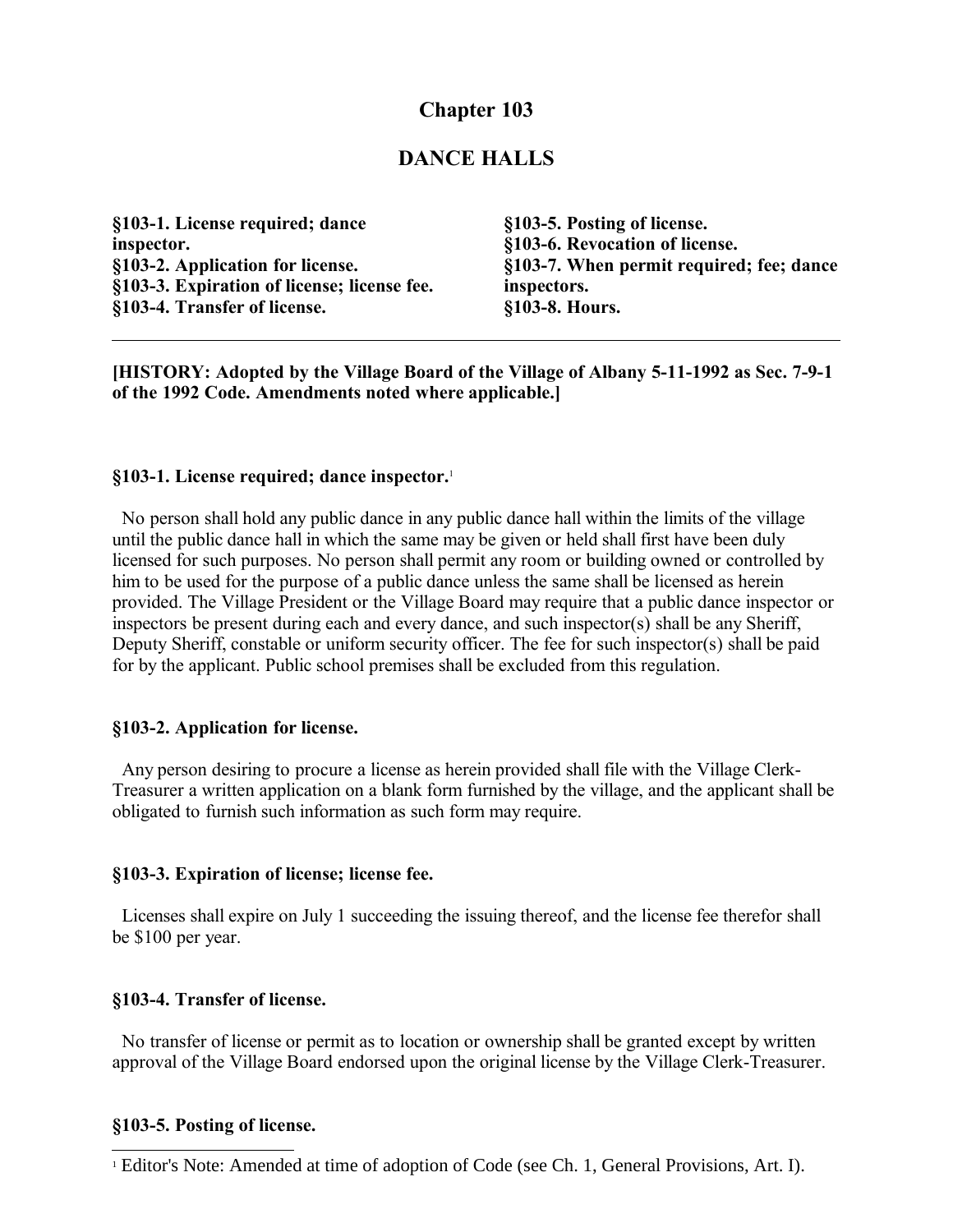# **Chapter 103**

## **DANCE HALLS**

| §103-1. License required; dance             | §103-5. Posting of license.              |
|---------------------------------------------|------------------------------------------|
| inspector.                                  | §103-6. Revocation of license.           |
| §103-2. Application for license.            | §103-7. When permit required; fee; dance |
| §103-3. Expiration of license; license fee. | inspectors.                              |
| §103-4. Transfer of license.                | §103-8. Hours.                           |

**[HISTORY: Adopted by the Village Board of the Village of Albany 5-11-1992 as Sec. 7-9-1 of the 1992 Code. Amendments noted where applicable.]**

#### **§103-1. License required; dance inspector.**[1](#page-0-0)

 No person shall hold any public dance in any public dance hall within the limits of the village until the public dance hall in which the same may be given or held shall first have been duly licensed for such purposes. No person shall permit any room or building owned or controlled by him to be used for the purpose of a public dance unless the same shall be licensed as herein provided. The Village President or the Village Board may require that a public dance inspector or inspectors be present during each and every dance, and such inspector(s) shall be any Sheriff, Deputy Sheriff, constable or uniform security officer. The fee for such inspector(s) shall be paid for by the applicant. Public school premises shall be excluded from this regulation.

### **§103-2. Application for license.**

 Any person desiring to procure a license as herein provided shall file with the Village Clerk-Treasurer a written application on a blank form furnished by the village, and the applicant shall be obligated to furnish such information as such form may require.

#### **§103-3. Expiration of license; license fee.**

 Licenses shall expire on July 1 succeeding the issuing thereof, and the license fee therefor shall be \$100 per year.

### **§103-4. Transfer of license.**

 No transfer of license or permit as to location or ownership shall be granted except by written approval of the Village Board endorsed upon the original license by the Village Clerk-Treasurer.

#### **§103-5. Posting of license.**

<span id="page-0-0"></span><sup>&</sup>lt;sup>1</sup> Editor's Note: Amended at time of adoption of Code (see Ch. 1, General Provisions, Art. I).